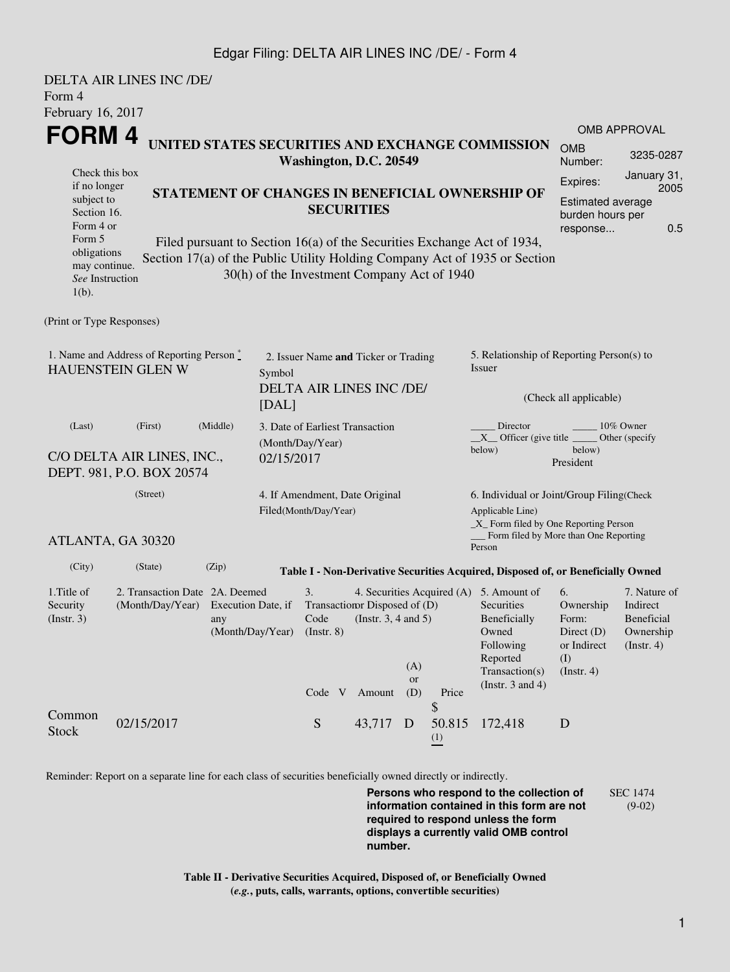## Edgar Filing: DELTA AIR LINES INC /DE/ - Form 4

| Form 4<br>February 16, 2017                                                                                                                       | DELTA AIR LINES INC /DE/                                              |                                                                                                                                                                                                                                                                              |  |                                                                  |                                                                        |                  |                                                                                                           |                                                                                                                                                    |                                                                               |                                                                    |  |
|---------------------------------------------------------------------------------------------------------------------------------------------------|-----------------------------------------------------------------------|------------------------------------------------------------------------------------------------------------------------------------------------------------------------------------------------------------------------------------------------------------------------------|--|------------------------------------------------------------------|------------------------------------------------------------------------|------------------|-----------------------------------------------------------------------------------------------------------|----------------------------------------------------------------------------------------------------------------------------------------------------|-------------------------------------------------------------------------------|--------------------------------------------------------------------|--|
| FORM <sub>4</sub>                                                                                                                                 |                                                                       | UNITED STATES SECURITIES AND EXCHANGE COMMISSION<br><b>OMB</b><br>Washington, D.C. 20549                                                                                                                                                                                     |  |                                                                  |                                                                        |                  |                                                                                                           |                                                                                                                                                    |                                                                               | <b>OMB APPROVAL</b><br>3235-0287                                   |  |
| Check this box<br>if no longer<br>subject to<br>Section 16.<br>Form 4 or<br>Form 5<br>obligations<br>may continue.<br>See Instruction<br>$1(b)$ . |                                                                       | STATEMENT OF CHANGES IN BENEFICIAL OWNERSHIP OF<br><b>SECURITIES</b><br>Filed pursuant to Section 16(a) of the Securities Exchange Act of 1934,<br>Section 17(a) of the Public Utility Holding Company Act of 1935 or Section<br>30(h) of the Investment Company Act of 1940 |  |                                                                  |                                                                        |                  |                                                                                                           |                                                                                                                                                    |                                                                               |                                                                    |  |
| (Print or Type Responses)                                                                                                                         |                                                                       |                                                                                                                                                                                                                                                                              |  |                                                                  |                                                                        |                  |                                                                                                           |                                                                                                                                                    |                                                                               |                                                                    |  |
| 1. Name and Address of Reporting Person $\stackrel{*}{\mathbb{L}}$<br><b>HAUENSTEIN GLEN W</b><br>Symbol<br>[DAL]                                 |                                                                       |                                                                                                                                                                                                                                                                              |  | 2. Issuer Name and Ticker or Trading<br>DELTA AIR LINES INC /DE/ |                                                                        |                  |                                                                                                           | 5. Relationship of Reporting Person(s) to<br>Issuer<br>(Check all applicable)                                                                      |                                                                               |                                                                    |  |
| (Middle)<br>(Last)<br>(First)<br>C/O DELTA AIR LINES, INC.,<br>02/15/2017<br>DEPT. 981, P.O. BOX 20574                                            |                                                                       |                                                                                                                                                                                                                                                                              |  | 3. Date of Earliest Transaction<br>(Month/Day/Year)              |                                                                        |                  |                                                                                                           | 10% Owner<br>Director<br>$X$ Officer (give title $\frac{1}{1}$<br>Other (specify<br>below)<br>below)<br>President                                  |                                                                               |                                                                    |  |
| (Street)                                                                                                                                          |                                                                       |                                                                                                                                                                                                                                                                              |  | 4. If Amendment, Date Original<br>Filed(Month/Day/Year)          |                                                                        |                  | 6. Individual or Joint/Group Filing(Check<br>Applicable Line)<br>$\_X$ Form filed by One Reporting Person |                                                                                                                                                    |                                                                               |                                                                    |  |
|                                                                                                                                                   | ATLANTA, GA 30320                                                     |                                                                                                                                                                                                                                                                              |  |                                                                  |                                                                        |                  |                                                                                                           | Form filed by More than One Reporting<br>Person                                                                                                    |                                                                               |                                                                    |  |
| (City)                                                                                                                                            | (State)                                                               | (Zip)                                                                                                                                                                                                                                                                        |  |                                                                  |                                                                        |                  |                                                                                                           | Table I - Non-Derivative Securities Acquired, Disposed of, or Beneficially Owned                                                                   |                                                                               |                                                                    |  |
| 1. Title of<br>Security<br>(Insert. 3)                                                                                                            | 2. Transaction Date 2A. Deemed<br>(Month/Day/Year) Execution Date, if | any                                                                                                                                                                                                                                                                          |  | 3.<br>(Month/Day/Year) (Instr. 8)<br>Code V                      | Transaction Disposed of (D)<br>Code (Instr. $3, 4$ and $5$ )<br>Amount | (A)<br>or<br>(D) | Price<br>\$                                                                                               | 4. Securities Acquired (A) 5. Amount of<br>Securities<br>Beneficially<br>Owned<br>Following<br>Reported<br>Transaction(s)<br>(Instr. $3$ and $4$ ) | 6.<br>Ownership<br>Form:<br>Direct $(D)$<br>or Indirect<br>(I)<br>(Insert. 4) | 7. Nature of<br>Indirect<br>Beneficial<br>Ownership<br>(Insert. 4) |  |
| Common<br><b>Stock</b>                                                                                                                            | 02/15/2017                                                            |                                                                                                                                                                                                                                                                              |  | ${\mathbf S}$                                                    | 43,717 D                                                               |                  | 50.815<br>$\frac{(1)}{2}$                                                                                 | 172,418                                                                                                                                            | D                                                                             |                                                                    |  |

Reminder: Report on a separate line for each class of securities beneficially owned directly or indirectly.

**Persons who respond to the collection of information contained in this form are not required to respond unless the form displays a currently valid OMB control number.** SEC 1474 (9-02)

**Table II - Derivative Securities Acquired, Disposed of, or Beneficially Owned (***e.g.***, puts, calls, warrants, options, convertible securities)**